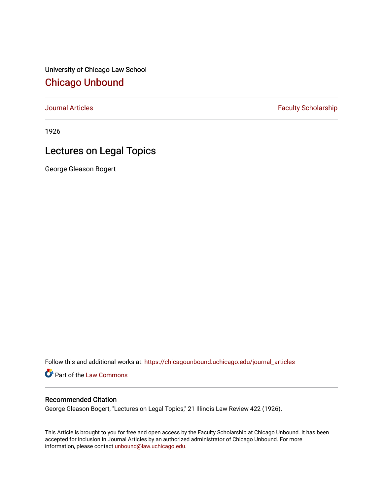University of Chicago Law School [Chicago Unbound](https://chicagounbound.uchicago.edu/)

[Journal Articles](https://chicagounbound.uchicago.edu/journal_articles) **Faculty Scholarship Faculty Scholarship** 

1926

## Lectures on Legal Topics

George Gleason Bogert

Follow this and additional works at: [https://chicagounbound.uchicago.edu/journal\\_articles](https://chicagounbound.uchicago.edu/journal_articles?utm_source=chicagounbound.uchicago.edu%2Fjournal_articles%2F9225&utm_medium=PDF&utm_campaign=PDFCoverPages) 

Part of the [Law Commons](http://network.bepress.com/hgg/discipline/578?utm_source=chicagounbound.uchicago.edu%2Fjournal_articles%2F9225&utm_medium=PDF&utm_campaign=PDFCoverPages)

## Recommended Citation

George Gleason Bogert, "Lectures on Legal Topics," 21 Illinois Law Review 422 (1926).

This Article is brought to you for free and open access by the Faculty Scholarship at Chicago Unbound. It has been accepted for inclusion in Journal Articles by an authorized administrator of Chicago Unbound. For more information, please contact [unbound@law.uchicago.edu](mailto:unbound@law.uchicago.edu).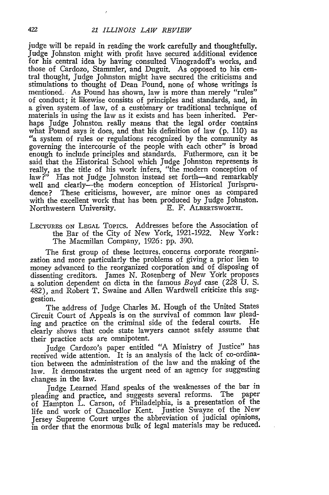judge will be repaid in reading the work carefully and thoughtfully. Judge Johnston might with profit have secured additional evidence for his central idea by having consulted Vinogradoff's works, and those of Cardozo, Stammler, and Duguit. As opposed to his central thought, Judge Johnston might have secured the criticisms and stimulations to thought of Dean Pound, none of whose writings is mentioned. As Pound has shown, law is more than merely "rules" of conduct; it likewise consists of principles and standards, and, in a given system of law, of a customary or traditional technique of materials in using the law as it exists and has been inherited. Perhaps Judge Johnston really means that the legal order contains what Pound says it does, and that his definition of law (p. 110) as "a system of rules or regulations recognized by the community as governing the intercourse of the people with each other" is broad enough to include principles and standards. Futhermore, can it be said that the Historical School which Judge Johnston represents is really, as the title of his work infers, "the modern conception of law ?" Has not Judge Johnston instead set forth-and remarkably well and clearly—the modern conception of Historical Jurisprudence? These criticisms, however, are minor ones as compared with the excellent work that has been produced by Judge Johnston. Northwestern University. **E.** F. ALBERTSWORTH.

LEcTuREs **ON LEGAL** Topics. Addresses before the Association of the Bar of the City of New York, 1921-1922. New York: The Macmillan Company, 1926: pp. 390.

The first group of these lectures. concerns corporate reorganization and more particularly the problems of giving a prior lien to money advanced to the reorganized corporation and of disposing of dissenting creditors. James N. Rosenberg of New York proposes a solution dependent on dicta in the famous *Boyd* case (228 U. S. 482), and Robert T. Swaine and Allen Wardwell criticize this suggestion.

The address of Judge Charles M. Hough of the United States Circuit Court of Appeals is on the survival of common law pleading and practice on the criminal side of the federal courts. He clearly shows that code state lawyers cannot safely assume that their practice acts are omnipotent.

Judge Cardozo's paper entitled "A Ministry of Justice" has received wide attention. It is an analysis of the lack of co-ordination between the administration of the law and the making of the law. It demonstrates the urgent need of an agency for suggesting changes in the law.

Judge Learned Hand speaks of the weaknesses of the bar in pleading and practice, and suggests several reforms. The paper of Hampton L. Carson, of Philadelphia, is a presentation of the life and work of Chancellor Kent. Justice Swayze of the New Jersey Supreme Court urges the abbreviation of judicial opinions, in order that the enormous bulk of legal materials may be reduced.